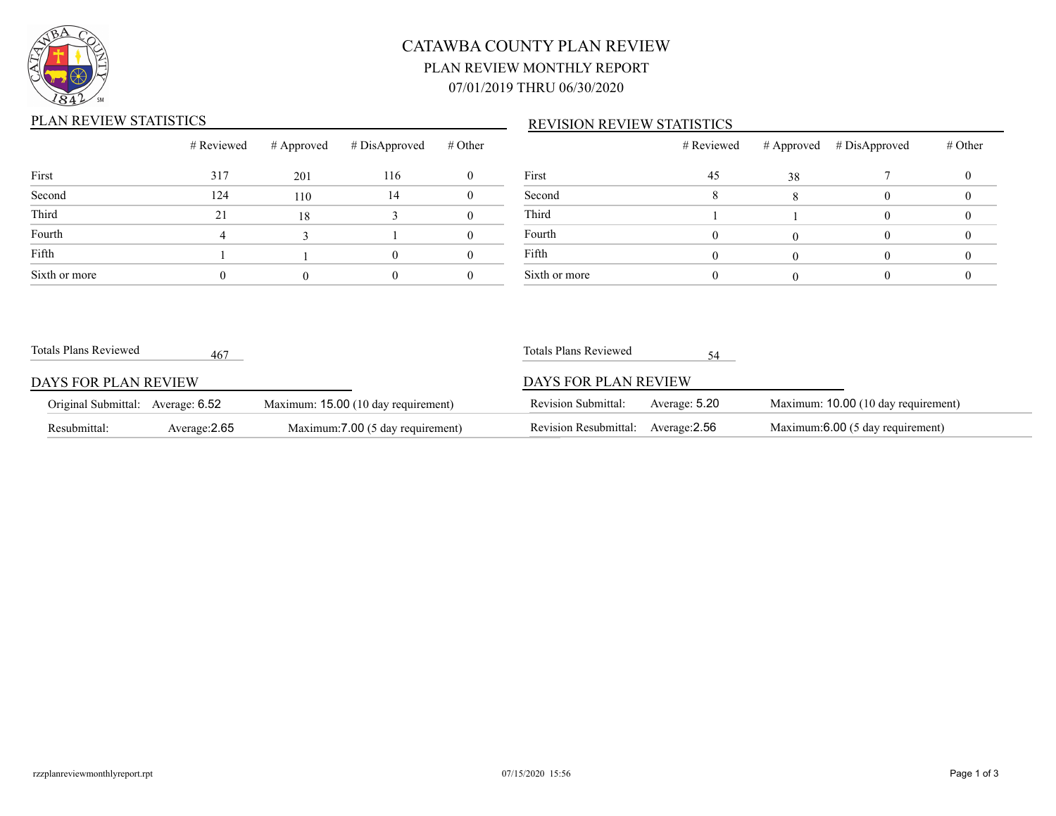

# CATAWBA COUNTY PLAN REVIEW PLAN REVIEW MONTHLY REPORT 07/01/2019 THRU 06/30/2020

## PLAN REVIEW STATISTICS

### REVISION REVIEW STATISTICS

|               | # Reviewed | # Approved | # DisApproved | # Other  |               |
|---------------|------------|------------|---------------|----------|---------------|
| First         | 317        | 201        | 116           | $\theta$ | First         |
| Second        | 124        | 110        | 14            | $\theta$ | Second        |
| Third         | 21         | 18         | 3             | $\theta$ | Third         |
| Fourth        | 4          |            |               | 0        | Fourth        |
| Fifth         |            |            |               |          | Fifth         |
| Sixth or more |            |            |               |          | Sixth or more |

|               | # Reviewed |    | # Approved # DisApproved | # Other |
|---------------|------------|----|--------------------------|---------|
| First         | 45         | 38 |                          |         |
| Second        |            |    |                          |         |
| Third         |            |    |                          |         |
| Fourth        |            |    |                          |         |
| Fifth         |            |    |                          |         |
| Sixth or more |            |    |                          |         |

| Totals Plans Reviewed             | 467           |                                     | Totals Plans Reviewed               |               |                                     |
|-----------------------------------|---------------|-------------------------------------|-------------------------------------|---------------|-------------------------------------|
| DAYS FOR PLAN REVIEW              |               |                                     | DAYS FOR PLAN REVIEW                |               |                                     |
| Original Submittal: Average: 6.52 |               | Maximum: 15.00 (10 day requirement) | <b>Revision Submittal:</b>          | Average: 5.20 | Maximum: 10.00 (10 day requirement) |
| Resubmittal:                      | Average: 2.65 | Maximum: 7.00 (5 day requirement)   | Revision Resubmittal: Average: 2.56 |               | Maximum: 6.00 (5 day requirement)   |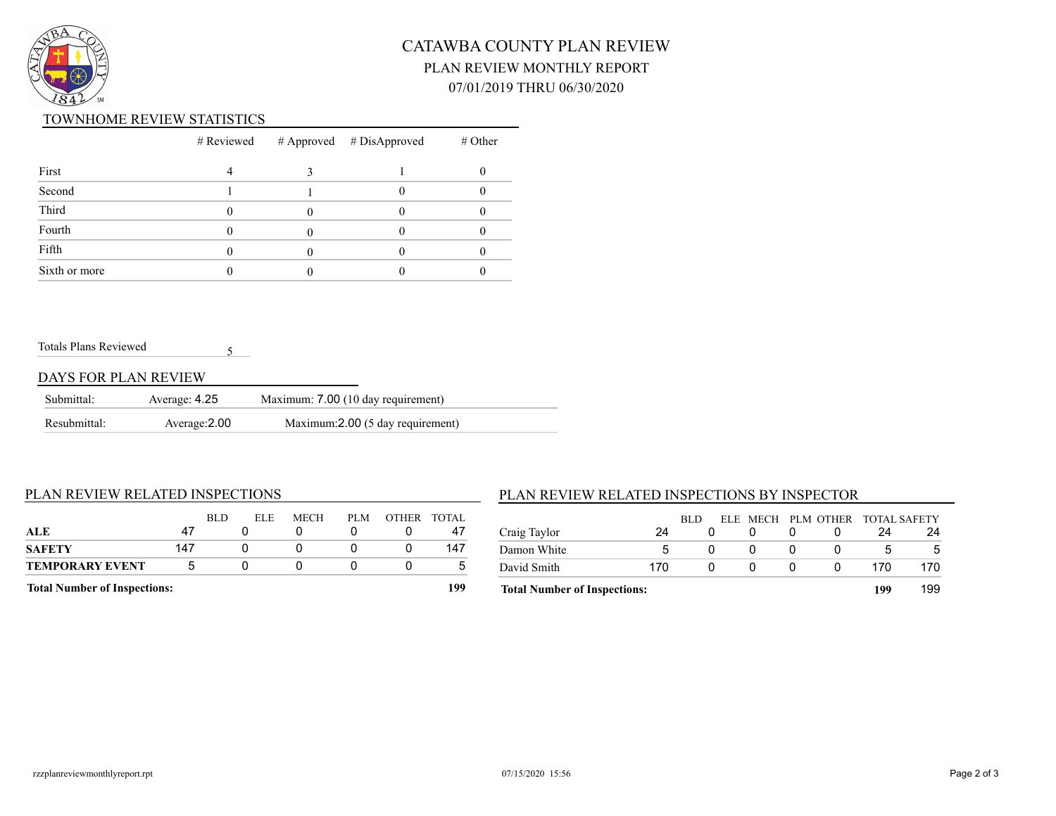

# CATAWBA COUNTY PLAN REVIEW PLAN REVIEW MONTHLY REPORT 07/01/2019 THRU 06/30/2020

#### TOWNHOME REVIEW STATISTICS

|               |  | $#$ Reviewed $#$ Approved $#$ DisApproved | # Other |
|---------------|--|-------------------------------------------|---------|
| First         |  |                                           |         |
| Second        |  |                                           |         |
| Third         |  |                                           |         |
| Fourth        |  |                                           |         |
| Fifth         |  |                                           |         |
| Sixth or more |  |                                           |         |

Totals Plans Reviewed

### DAYS FOR PLAN REVIEW

| Submittal:   | Average: 4.25 | Maximum: 7.00 (10 day requirement) |
|--------------|---------------|------------------------------------|
| Resubmittal: | Average: 2.00 | Maximum: 2.00 (5 day requirement)  |

5

#### PLAN REVIEW RELATED INSPECTIONS

| <b>Total Number of Inspections:</b> |     |      |      |      |     |              | 199    |
|-------------------------------------|-----|------|------|------|-----|--------------|--------|
| <b>TEMPORARY EVENT</b>              | .h  |      |      |      |     |              |        |
| <b>SAFETY</b>                       | 147 |      |      |      |     |              | 147    |
| ALE                                 | 47  |      |      |      |     |              | 47     |
|                                     |     | BLD. | ELE. | MECH | PLM | <b>OTHER</b> | TOTAL. |

#### PLAN REVIEW RELATED INSPECTIONS BY INSPECTOR

|                                     |     | BLD |   | ELE MECH PLM OTHER TOTAL SAFETY |     |     |
|-------------------------------------|-----|-----|---|---------------------------------|-----|-----|
| Craig Taylor                        | 24  |     |   |                                 | 24  | 24  |
| Damon White                         | 5   |     |   |                                 |     |     |
| David Smith                         | 170 |     | 0 |                                 | 170 | 170 |
| <b>Total Number of Inspections:</b> |     |     |   |                                 | 199 | 199 |